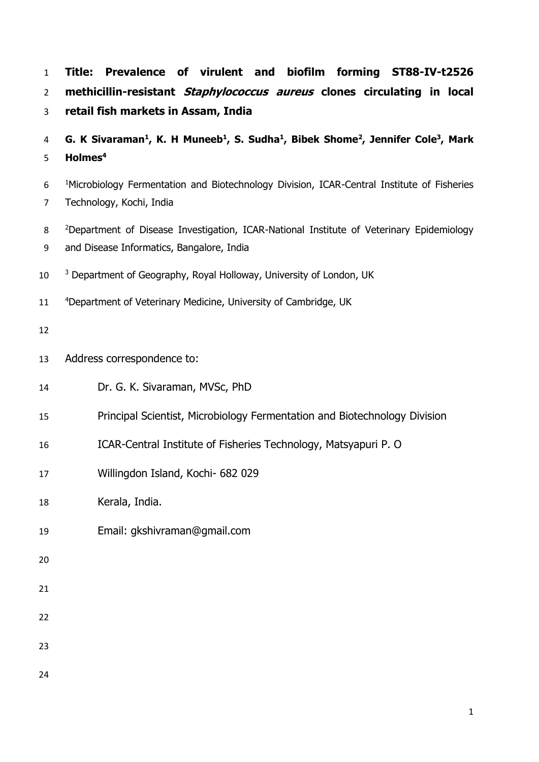| $\mathbf{1}$<br>$\overline{2}$<br>3 | Title: Prevalence of virulent and biofilm forming ST88-IV-t2526<br>methicillin-resistant Staphylococcus aureus clones circulating in local<br>retail fish markets in Assam, India |  |  |  |  |  |  |
|-------------------------------------|-----------------------------------------------------------------------------------------------------------------------------------------------------------------------------------|--|--|--|--|--|--|
| 4<br>5                              | G. K Sivaraman <sup>1</sup> , K. H Muneeb <sup>1</sup> , S. Sudha <sup>1</sup> , Bibek Shome <sup>2</sup> , Jennifer Cole <sup>3</sup> , Mark<br>Holmes <sup>4</sup>              |  |  |  |  |  |  |
| 6<br>$\overline{7}$                 | <sup>1</sup> Microbiology Fermentation and Biotechnology Division, ICAR-Central Institute of Fisheries<br>Technology, Kochi, India                                                |  |  |  |  |  |  |
| 8<br>9                              | <sup>2</sup> Department of Disease Investigation, ICAR-National Institute of Veterinary Epidemiology<br>and Disease Informatics, Bangalore, India                                 |  |  |  |  |  |  |
| 10                                  | <sup>3</sup> Department of Geography, Royal Holloway, University of London, UK                                                                                                    |  |  |  |  |  |  |
| 11                                  | <sup>4</sup> Department of Veterinary Medicine, University of Cambridge, UK                                                                                                       |  |  |  |  |  |  |
| 12                                  |                                                                                                                                                                                   |  |  |  |  |  |  |
| 13                                  | Address correspondence to:                                                                                                                                                        |  |  |  |  |  |  |
| 14                                  | Dr. G. K. Sivaraman, MVSc, PhD                                                                                                                                                    |  |  |  |  |  |  |
| 15                                  | Principal Scientist, Microbiology Fermentation and Biotechnology Division                                                                                                         |  |  |  |  |  |  |
| 16                                  | ICAR-Central Institute of Fisheries Technology, Matsyapuri P. O                                                                                                                   |  |  |  |  |  |  |
| 17                                  | Willingdon Island, Kochi- 682 029                                                                                                                                                 |  |  |  |  |  |  |
| 18                                  | Kerala, India.                                                                                                                                                                    |  |  |  |  |  |  |
| 19                                  | Email: gkshivraman@gmail.com                                                                                                                                                      |  |  |  |  |  |  |
| 20                                  |                                                                                                                                                                                   |  |  |  |  |  |  |
| 21                                  |                                                                                                                                                                                   |  |  |  |  |  |  |
| 22                                  |                                                                                                                                                                                   |  |  |  |  |  |  |
| 23                                  |                                                                                                                                                                                   |  |  |  |  |  |  |
| 24                                  |                                                                                                                                                                                   |  |  |  |  |  |  |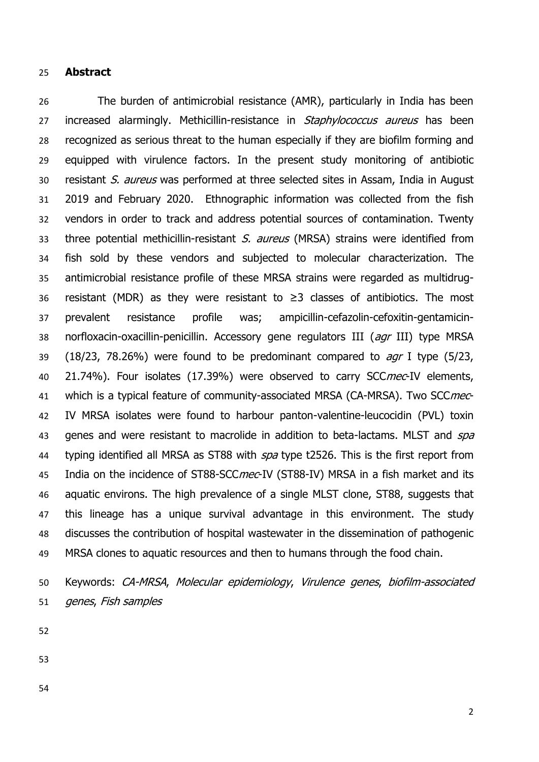## **Abstract**

 The burden of antimicrobial resistance (AMR), particularly in India has been 27 increased alarmingly. Methicillin-resistance in Staphylococcus aureus has been recognized as serious threat to the human especially if they are biofilm forming and equipped with virulence factors. In the present study monitoring of antibiotic resistant S. aureus was performed at three selected sites in Assam, India in August 2019 and February 2020. Ethnographic information was collected from the fish vendors in order to track and address potential sources of contamination. Twenty 33 three potential methicillin-resistant S, aureus (MRSA) strains were identified from fish sold by these vendors and subjected to molecular characterization. The antimicrobial resistance profile of these MRSA strains were regarded as multidrug- resistant (MDR) as they were resistant to ≥3 classes of antibiotics. The most prevalent resistance profile was; ampicillin-cefazolin-cefoxitin-gentamicin-38 norfloxacin-oxacillin-penicillin. Accessory gene regulators III (agr III) type MRSA 39 (18/23, 78.26%) were found to be predominant compared to  $aqr$  I type (5/23, 40 21.74%). Four isolates (17.39%) were observed to carry SCCmec-IV elements, 41 which is a typical feature of community-associated MRSA (CA-MRSA). Two SCCmec- IV MRSA isolates were found to harbour panton-valentine-leucocidin (PVL) toxin 43 genes and were resistant to macrolide in addition to beta-lactams. MLST and spa 44 typing identified all MRSA as ST88 with spa type t2526. This is the first report from 45 India on the incidence of ST88-SCCmec-IV (ST88-IV) MRSA in a fish market and its aquatic environs. The high prevalence of a single MLST clone, ST88, suggests that this lineage has a unique survival advantage in this environment. The study discusses the contribution of hospital wastewater in the dissemination of pathogenic MRSA clones to aquatic resources and then to humans through the food chain.

 Keywords: CA-MRSA, Molecular epidemiology, Virulence genes, biofilm-associated genes, Fish samples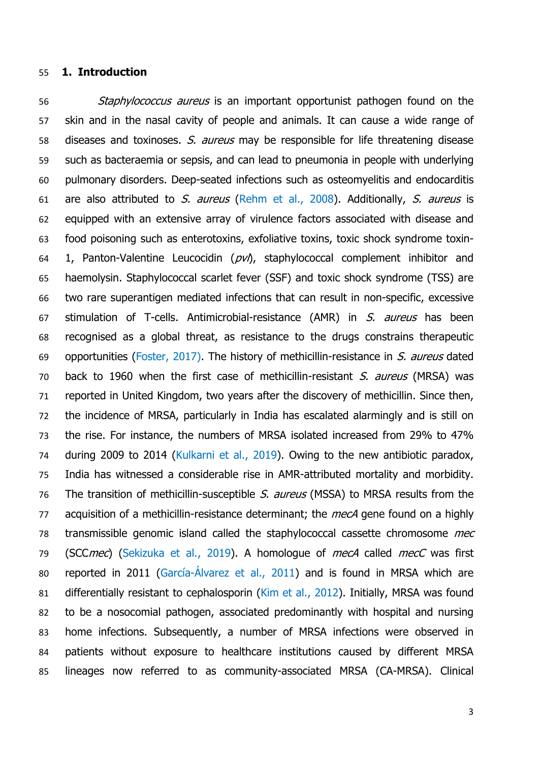## **1. Introduction**

56 Staphylococcus aureus is an important opportunist pathogen found on the skin and in the nasal cavity of people and animals. It can cause a wide range of 58 diseases and toxinoses. S. aureus may be responsible for life threatening disease such as bacteraemia or sepsis, and can lead to pneumonia in people with underlying pulmonary disorders. Deep-seated infections such as osteomyelitis and endocarditis 61 are also attributed to S. aureus (Rehm et al., 2008). Additionally, S. aureus is equipped with an extensive array of virulence factors associated with disease and food poisoning such as enterotoxins, exfoliative toxins, toxic shock syndrome toxin-64 1, Panton-Valentine Leucocidin  $(pv)$ , staphylococcal complement inhibitor and haemolysin. Staphylococcal scarlet fever (SSF) and toxic shock syndrome (TSS) are two rare superantigen mediated infections that can result in non-specific, excessive 67 stimulation of T-cells. Antimicrobial-resistance (AMR) in S. aureus has been recognised as a global threat, as resistance to the drugs constrains therapeutic 69 opportunities (Foster, 2017). The history of methicillin-resistance in S. aureus dated 70 back to 1960 when the first case of methicillin-resistant S. aureus (MRSA) was reported in United Kingdom, two years after the discovery of methicillin. Since then, the incidence of MRSA, particularly in India has escalated alarmingly and is still on the rise. For instance, the numbers of MRSA isolated increased from 29% to 47% during 2009 to 2014 (Kulkarni et al., 2019). Owing to the new antibiotic paradox, India has witnessed a considerable rise in AMR-attributed mortality and morbidity. 76 The transition of methicillin-susceptible S. aureus (MSSA) to MRSA results from the 77 acquisition of a methicillin-resistance determinant; the *mecA* gene found on a highly 78 transmissible genomic island called the staphylococcal cassette chromosome mec 79 (SCCmec) (Sekizuka et al., 2019). A homologue of mecA called mecC was first reported in 2011 (García-Álvarez et al., 2011) and is found in MRSA which are differentially resistant to cephalosporin (Kim et al., 2012). Initially, MRSA was found to be a nosocomial pathogen, associated predominantly with hospital and nursing home infections. Subsequently, a number of MRSA infections were observed in patients without exposure to healthcare institutions caused by different MRSA lineages now referred to as community-associated MRSA (CA-MRSA). Clinical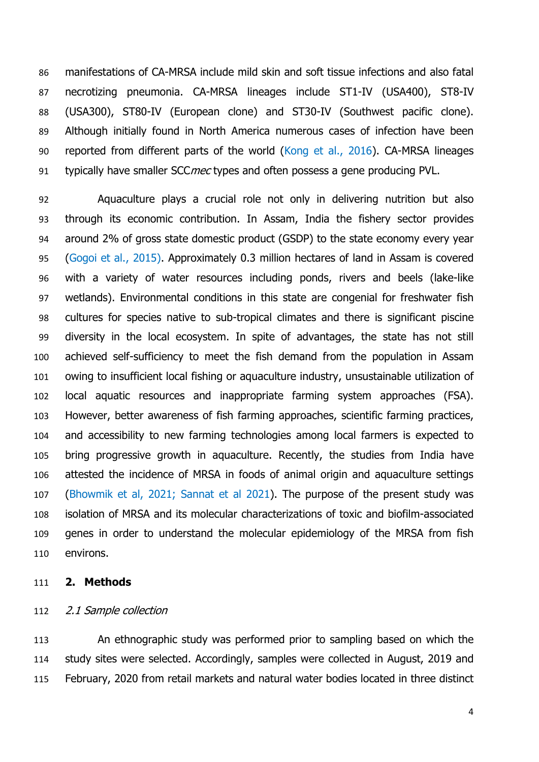manifestations of CA-MRSA include mild skin and soft tissue infections and also fatal necrotizing pneumonia. CA-MRSA lineages include ST1-IV (USA400), ST8-IV (USA300), ST80-IV (European clone) and ST30-IV (Southwest pacific clone). Although initially found in North America numerous cases of infection have been reported from different parts of the world (Kong et al., 2016). CA-MRSA lineages 91 typically have smaller SCCmec types and often possess a gene producing PVL.

 Aquaculture plays a crucial role not only in delivering nutrition but also through its economic contribution. In Assam, India the fishery sector provides around 2% of gross state domestic product (GSDP) to the state economy every year (Gogoi et al., 2015). Approximately 0.3 million hectares of land in Assam is covered with a variety of water resources including ponds, rivers and beels (lake-like wetlands). Environmental conditions in this state are congenial for freshwater fish cultures for species native to sub-tropical climates and there is significant piscine diversity in the local ecosystem. In spite of advantages, the state has not still achieved self-sufficiency to meet the fish demand from the population in Assam owing to insufficient local fishing or aquaculture industry, unsustainable utilization of local aquatic resources and inappropriate farming system approaches (FSA). However, better awareness of fish farming approaches, scientific farming practices, and accessibility to new farming technologies among local farmers is expected to bring progressive growth in aquaculture. Recently, the studies from India have attested the incidence of MRSA in foods of animal origin and aquaculture settings (Bhowmik et al, 2021; Sannat et al 2021). The purpose of the present study was isolation of MRSA and its molecular characterizations of toxic and biofilm-associated genes in order to understand the molecular epidemiology of the MRSA from fish environs.

## **2. Methods**

## 112 2.1 Sample collection

 An ethnographic study was performed prior to sampling based on which the study sites were selected. Accordingly, samples were collected in August, 2019 and February, 2020 from retail markets and natural water bodies located in three distinct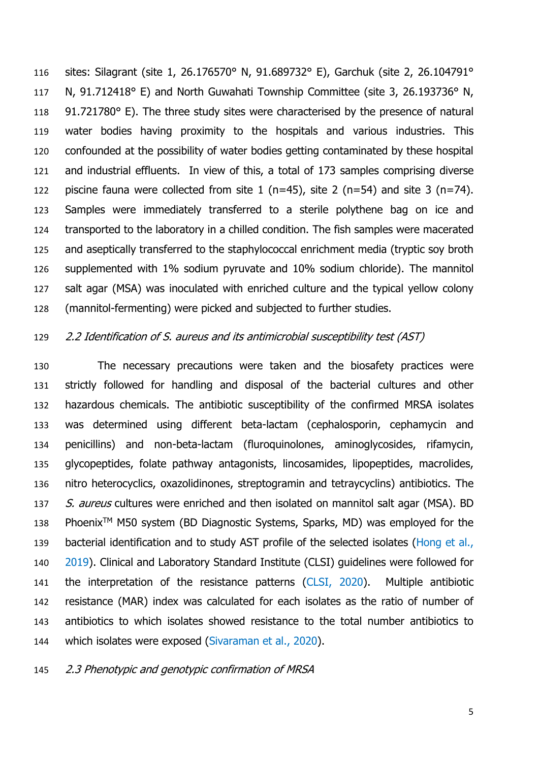sites: Silagrant (site 1, 26.176570° N, 91.689732° E), Garchuk (site 2, 26.104791° 117 N, 91.712418° E) and North Guwahati Township Committee (site 3, 26.193736° N, 118 91.721780° E). The three study sites were characterised by the presence of natural water bodies having proximity to the hospitals and various industries. This confounded at the possibility of water bodies getting contaminated by these hospital and industrial effluents. In view of this, a total of 173 samples comprising diverse 122 piscine fauna were collected from site 1 (n=45), site 2 (n=54) and site 3 (n=74). Samples were immediately transferred to a sterile polythene bag on ice and transported to the laboratory in a chilled condition. The fish samples were macerated and aseptically transferred to the staphylococcal enrichment media (tryptic soy broth supplemented with 1% sodium pyruvate and 10% sodium chloride). The mannitol salt agar (MSA) was inoculated with enriched culture and the typical yellow colony (mannitol-fermenting) were picked and subjected to further studies.

## 2.2 Identification of S. aureus and its antimicrobial susceptibility test (AST)

 The necessary precautions were taken and the biosafety practices were strictly followed for handling and disposal of the bacterial cultures and other hazardous chemicals. The antibiotic susceptibility of the confirmed MRSA isolates was determined using different beta-lactam (cephalosporin, cephamycin and penicillins) and non-beta-lactam (fluroquinolones, aminoglycosides, rifamycin, glycopeptides, folate pathway antagonists, lincosamides, lipopeptides, macrolides, nitro heterocyclics, oxazolidinones, streptogramin and tetraycyclins) antibiotics. The 137 S. aureus cultures were enriched and then isolated on mannitol salt agar (MSA). BD 138 Phoenix<sup>TM</sup> M50 system (BD Diagnostic Systems, Sparks, MD) was employed for the 139 bacterial identification and to study AST profile of the selected isolates (Hong et al., 2019). Clinical and Laboratory Standard Institute (CLSI) guidelines were followed for the interpretation of the resistance patterns (CLSI, 2020). Multiple antibiotic resistance (MAR) index was calculated for each isolates as the ratio of number of antibiotics to which isolates showed resistance to the total number antibiotics to which isolates were exposed (Sivaraman et al., 2020).

2.3 Phenotypic and genotypic confirmation of MRSA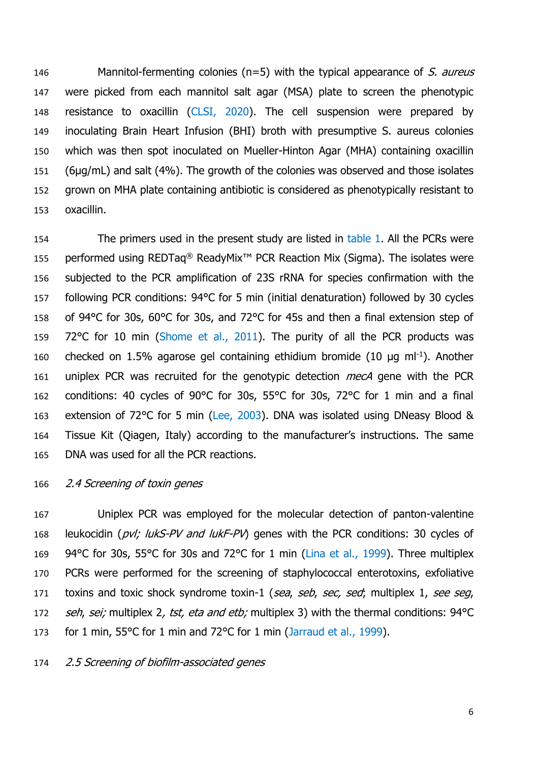146 Mannitol-fermenting colonies ( $n=5$ ) with the typical appearance of S. aureus were picked from each mannitol salt agar (MSA) plate to screen the phenotypic resistance to oxacillin (CLSI, 2020). The cell suspension were prepared by inoculating Brain Heart Infusion (BHI) broth with presumptive S. aureus colonies which was then spot inoculated on Mueller-Hinton Agar (MHA) containing oxacillin (6µg/mL) and salt (4%). The growth of the colonies was observed and those isolates grown on MHA plate containing antibiotic is considered as phenotypically resistant to oxacillin.

154 The primers used in the present study are listed in table 1. All the PCRs were 155 performed using REDTaq<sup>®</sup> ReadyMix<sup>™</sup> PCR Reaction Mix (Sigma). The isolates were 156 subjected to the PCR amplification of 23S rRNA for species confirmation with the 157 following PCR conditions: 94°C for 5 min (initial denaturation) followed by 30 cycles 158 of 94°C for 30s, 60°C for 30s, and 72°C for 45s and then a final extension step of 159 72°C for 10 min (Shome et al., 2011). The purity of all the PCR products was 160 checked on 1.5% agarose gel containing ethidium bromide (10  $\mu$ g ml<sup>-1</sup>). Another 161 uniplex PCR was recruited for the genotypic detection *mecA* gene with the PCR 162 conditions: 40 cycles of 90°C for 30s, 55°C for 30s, 72°C for 1 min and a final 163 extension of 72°C for 5 min (Lee, 2003). DNA was isolated using DNeasy Blood & 164 Tissue Kit (Qiagen, Italy) according to the manufacturer's instructions. The same 165 DNA was used for all the PCR reactions.

## 166 2.4 Screening of toxin genes

167 Uniplex PCR was employed for the molecular detection of panton-valentine 168 leukocidin (pvl; lukS-PV and lukF-PV) genes with the PCR conditions: 30 cycles of 169 94°C for 30s, 55°C for 30s and 72°C for 1 min (Lina et al., 1999). Three multiplex 170 PCRs were performed for the screening of staphylococcal enterotoxins, exfoliative 171 toxins and toxic shock syndrome toxin-1 (sea, seb, sec, sed; multiplex 1, see seg, 172 seh, sei; multiplex 2, tst, eta and etb; multiplex 3) with the thermal conditions: 94°C 173 for 1 min, 55°C for 1 min and 72°C for 1 min (Jarraud et al., 1999).

174 2.5 Screening of biofilm-associated genes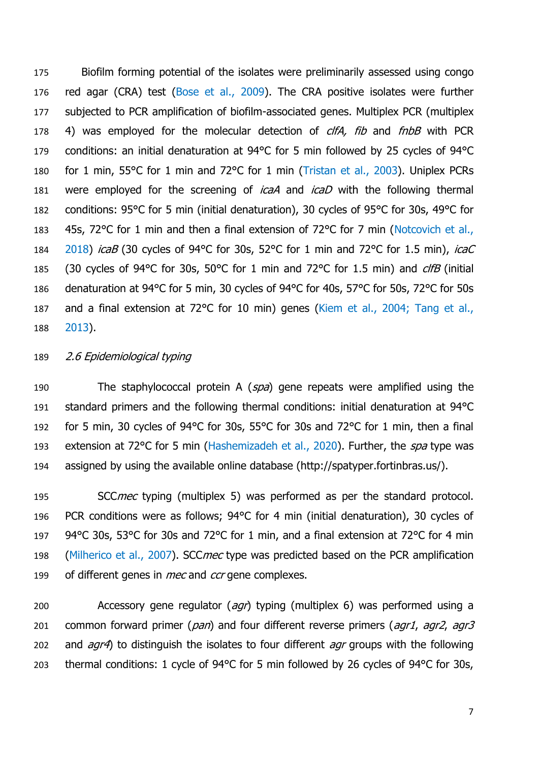175 Biofilm forming potential of the isolates were preliminarily assessed using congo 176 red agar (CRA) test (Bose et al., 2009). The CRA positive isolates were further 177 subjected to PCR amplification of biofilm-associated genes. Multiplex PCR (multiplex 178 4) was employed for the molecular detection of *clfA, fib* and *fnbB* with PCR 179 conditions: an initial denaturation at 94°C for 5 min followed by 25 cycles of 94°C 180 for 1 min, 55°C for 1 min and 72°C for 1 min (Tristan et al., 2003). Uniplex PCRs 181 were employed for the screening of *icaA* and *icaD* with the following thermal 182 conditions: 95°C for 5 min (initial denaturation), 30 cycles of 95°C for 30s, 49°C for 183 45s, 72°C for 1 min and then a final extension of 72°C for 7 min (Notcovich et al., 184 2018) *icaB* (30 cycles of 94°C for 30s, 52°C for 1 min and 72°C for 1.5 min), *icaC* 185 (30 cycles of 94°C for 30s, 50°C for 1 min and 72°C for 1.5 min) and *clfB* (initial 186 denaturation at 94°C for 5 min, 30 cycles of 94°C for 40s, 57°C for 50s, 72°C for 50s 187 and a final extension at 72°C for 10 min) genes (Kiem et al., 2004; Tang et al., 188 2013).

## 189 2.6 Epidemiological typing

190 The staphylococcal protein A (spa) gene repeats were amplified using the 191 standard primers and the following thermal conditions: initial denaturation at 94°C 192 for 5 min, 30 cycles of 94°C for 30s, 55°C for 30s and 72°C for 1 min, then a final 193 extension at 72°C for 5 min (Hashemizadeh et al., 2020). Further, the spa type was 194 assigned by using the available online database (http://spatyper.fortinbras.us/).

195 SCCmec typing (multiplex 5) was performed as per the standard protocol. 196 PCR conditions were as follows; 94°C for 4 min (initial denaturation), 30 cycles of 197 94°C 30s, 53°C for 30s and 72°C for 1 min, and a final extension at 72°C for 4 min 198 (Milherico et al., 2007). SCC mec type was predicted based on the PCR amplification 199 of different genes in *mec* and *ccr* gene complexes.

200 Accessory gene regulator (*agr*) typing (multiplex 6) was performed using a 201 common forward primer ( $pan$ ) and four different reverse primers ( $agr1$ ,  $agr2$ ,  $agr3$ 202 and  $aqr4$ ) to distinguish the isolates to four different  $aqr$  groups with the following 203 thermal conditions: 1 cycle of 94°C for 5 min followed by 26 cycles of 94°C for 30s,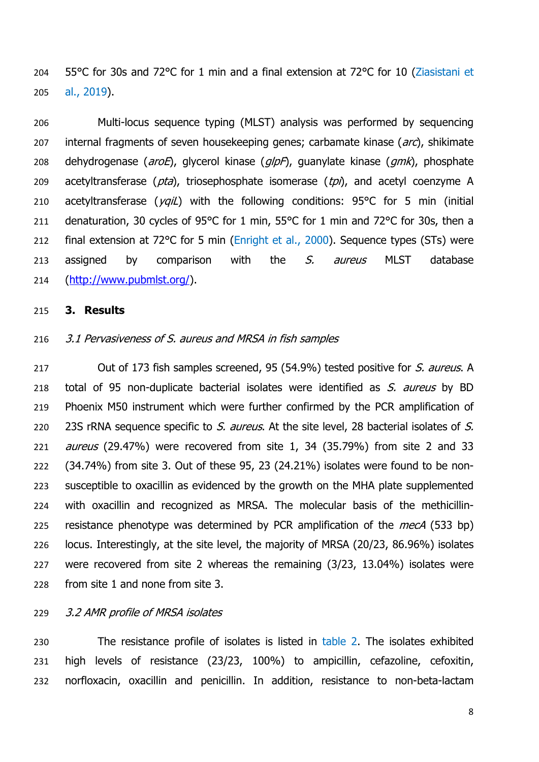204 55°C for 30s and 72°C for 1 min and a final extension at 72°C for 10 (Ziasistani et 205 al., 2019).

206 Multi-locus sequence typing (MLST) analysis was performed by sequencing 207 internal fragments of seven housekeeping genes; carbamate kinase (arc), shikimate 208 dehydrogenase (*aroE*), glycerol kinase ( $qlpF$ ), guanylate kinase ( $qmk$ ), phosphate 209 acetyltransferase ( $pta$ ), triosephosphate isomerase ( $tpi$ ), and acetyl coenzyme A 210 acetyltransferase ( $yqil$ ) with the following conditions: 95°C for 5 min (initial 211 denaturation, 30 cycles of 95°C for 1 min, 55°C for 1 min and 72°C for 30s, then a 212 final extension at 72°C for 5 min (Enright et al., 2000). Sequence types (STs) were 213 assigned by comparison with the  $S$ . aureus MLST database 214 [\(http://www.pubmlst.org/\)](http://www.pubmlst.org/).

### 215 **3. Results**

#### 216 3.1 Pervasiveness of S. aureus and MRSA in fish samples

217 Out of 173 fish samples screened, 95 (54.9%) tested positive for S. aureus. A 218 total of 95 non-duplicate bacterial isolates were identified as S. aureus by BD Phoenix M50 instrument which were further confirmed by the PCR amplification of 220 23S rRNA sequence specific to S. aureus. At the site level, 28 bacterial isolates of S. *aureus* (29.47%) were recovered from site 1, 34 (35.79%) from site 2 and 33 (34.74%) from site 3. Out of these 95, 23 (24.21%) isolates were found to be non- susceptible to oxacillin as evidenced by the growth on the MHA plate supplemented with oxacillin and recognized as MRSA. The molecular basis of the methicillin-225 resistance phenotype was determined by PCR amplification of the  $mecA$  (533 bp) locus. Interestingly, at the site level, the majority of MRSA (20/23, 86.96%) isolates were recovered from site 2 whereas the remaining (3/23, 13.04%) isolates were from site 1 and none from site 3.

## 229 3.2 AMR profile of MRSA isolates

230 The resistance profile of isolates is listed in table 2. The isolates exhibited 231 high levels of resistance (23/23, 100%) to ampicillin, cefazoline, cefoxitin, 232 norfloxacin, oxacillin and penicillin. In addition, resistance to non-beta-lactam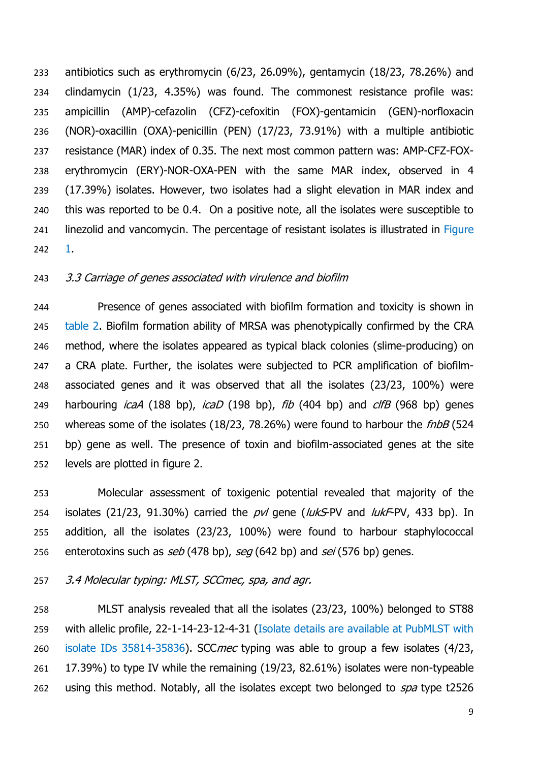antibiotics such as erythromycin (6/23, 26.09%), gentamycin (18/23, 78.26%) and clindamycin (1/23, 4.35%) was found. The commonest resistance profile was: ampicillin (AMP)-cefazolin (CFZ)-cefoxitin (FOX)-gentamicin (GEN)-norfloxacin (NOR)-oxacillin (OXA)-penicillin (PEN) (17/23, 73.91%) with a multiple antibiotic resistance (MAR) index of 0.35. The next most common pattern was: AMP-CFZ-FOX- erythromycin (ERY)-NOR-OXA-PEN with the same MAR index, observed in 4 (17.39%) isolates. However, two isolates had a slight elevation in MAR index and this was reported to be 0.4. On a positive note, all the isolates were susceptible to 241 linezolid and vancomycin. The percentage of resistant isolates is illustrated in Figure 1.

## 3.3 Carriage of genes associated with virulence and biofilm

 Presence of genes associated with biofilm formation and toxicity is shown in 245 table 2. Biofilm formation ability of MRSA was phenotypically confirmed by the CRA method, where the isolates appeared as typical black colonies (slime-producing) on a CRA plate. Further, the isolates were subjected to PCR amplification of biofilm- associated genes and it was observed that all the isolates (23/23, 100%) were 249 harbouring  $icaA$  (188 bp),  $icaD$  (198 bp),  $fib$  (404 bp) and  $clfB$  (968 bp) genes 250 whereas some of the isolates (18/23, 78.26%) were found to harbour the fnbB (524 bp) gene as well. The presence of toxin and biofilm-associated genes at the site levels are plotted in figure 2.

 Molecular assessment of toxigenic potential revealed that majority of the 254 isolates (21/23, 91.30%) carried the  $pvl$  gene (*lukS-PV* and *lukF-PV*, 433 bp). In addition, all the isolates (23/23, 100%) were found to harbour staphylococcal 256 enterotoxins such as seb (478 bp), seg (642 bp) and sei (576 bp) genes.

3.4 Molecular typing: MLST, SCCmec, spa, and agr.

 MLST analysis revealed that all the isolates (23/23, 100%) belonged to ST88 with allelic profile, 22-1-14-23-12-4-31 (Isolate details are available at PubMLST with 260 isolate IDs 35814-35836). SCCmec typing was able to group a few isolates (4/23, 17.39%) to type IV while the remaining (19/23, 82.61%) isolates were non-typeable 262 using this method. Notably, all the isolates except two belonged to spa type t2526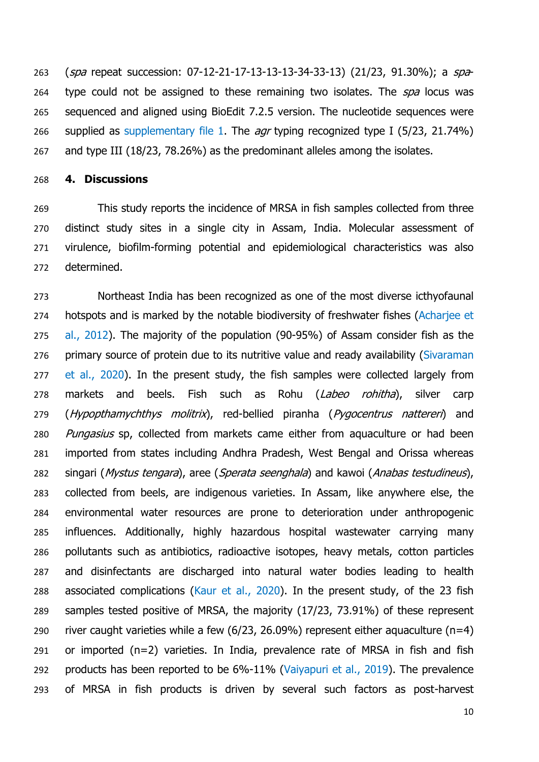263 (*spa* repeat succession: 07-12-21-17-13-13-13-34-33-13) (21/23, 91.30%); a spa-264 type could not be assigned to these remaining two isolates. The spa locus was sequenced and aligned using BioEdit 7.2.5 version. The nucleotide sequences were 266 supplied as supplementary file 1. The *agr* typing recognized type I (5/23, 21.74%) and type III (18/23, 78.26%) as the predominant alleles among the isolates.

## **4. Discussions**

 This study reports the incidence of MRSA in fish samples collected from three distinct study sites in a single city in Assam, India. Molecular assessment of virulence, biofilm-forming potential and epidemiological characteristics was also determined.

 Northeast India has been recognized as one of the most diverse icthyofaunal 274 hotspots and is marked by the notable biodiversity of freshwater fishes (Acharjee et al., 2012). The majority of the population (90-95%) of Assam consider fish as the 276 primary source of protein due to its nutritive value and ready availability (Sivaraman 277 et al., 2020). In the present study, the fish samples were collected largely from 278 markets and beels. Fish such as Rohu (Labeo rohitha), silver carp 279 (Hypopthamychthys molitrix), red-bellied piranha (Pygocentrus nattereri) and 280 Pungasius sp, collected from markets came either from aquaculture or had been imported from states including Andhra Pradesh, West Bengal and Orissa whereas 282 singari (Mystus tengara), aree (Sperata seenghala) and kawoi (Anabas testudineus), collected from beels, are indigenous varieties. In Assam, like anywhere else, the environmental water resources are prone to deterioration under anthropogenic influences. Additionally, highly hazardous hospital wastewater carrying many pollutants such as antibiotics, radioactive isotopes, heavy metals, cotton particles and disinfectants are discharged into natural water bodies leading to health associated complications (Kaur et al., 2020). In the present study, of the 23 fish samples tested positive of MRSA, the majority (17/23, 73.91%) of these represent 290 river caught varieties while a few  $(6/23, 26.09%)$  represent either aquaculture  $(n=4)$  or imported (n=2) varieties. In India, prevalence rate of MRSA in fish and fish products has been reported to be 6%-11% (Vaiyapuri et al., 2019). The prevalence of MRSA in fish products is driven by several such factors as post-harvest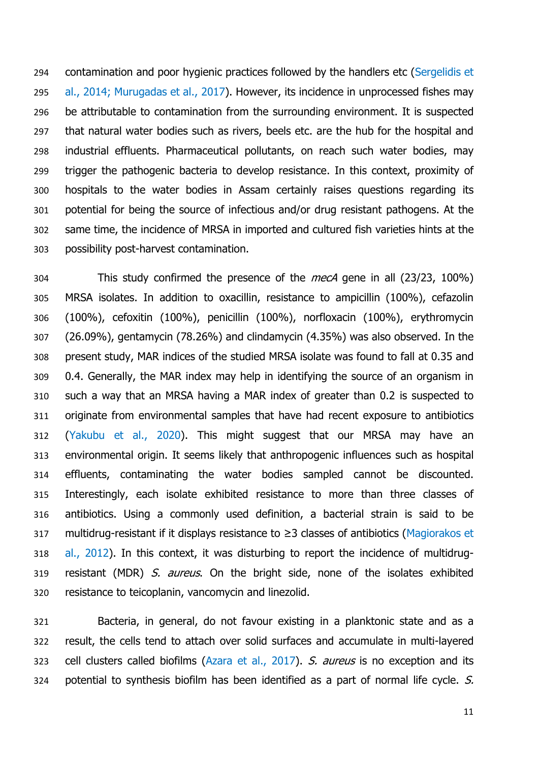contamination and poor hygienic practices followed by the handlers etc (Sergelidis et al., 2014; Murugadas et al., 2017). However, its incidence in unprocessed fishes may be attributable to contamination from the surrounding environment. It is suspected that natural water bodies such as rivers, beels etc. are the hub for the hospital and industrial effluents. Pharmaceutical pollutants, on reach such water bodies, may trigger the pathogenic bacteria to develop resistance. In this context, proximity of hospitals to the water bodies in Assam certainly raises questions regarding its potential for being the source of infectious and/or drug resistant pathogens. At the same time, the incidence of MRSA in imported and cultured fish varieties hints at the possibility post-harvest contamination.

304 This study confirmed the presence of the *mecA* gene in all (23/23, 100%) MRSA isolates. In addition to oxacillin, resistance to ampicillin (100%), cefazolin (100%), cefoxitin (100%), penicillin (100%), norfloxacin (100%), erythromycin (26.09%), gentamycin (78.26%) and clindamycin (4.35%) was also observed. In the present study, MAR indices of the studied MRSA isolate was found to fall at 0.35 and 0.4. Generally, the MAR index may help in identifying the source of an organism in such a way that an MRSA having a MAR index of greater than 0.2 is suspected to originate from environmental samples that have had recent exposure to antibiotics (Yakubu et al., 2020). This might suggest that our MRSA may have an environmental origin. It seems likely that anthropogenic influences such as hospital effluents, contaminating the water bodies sampled cannot be discounted. Interestingly, each isolate exhibited resistance to more than three classes of antibiotics. Using a commonly used definition, a bacterial strain is said to be multidrug-resistant if it displays resistance to ≥3 classes of antibiotics (Magiorakos et al., 2012). In this context, it was disturbing to report the incidence of multidrug-319 resistant (MDR) S. aureus. On the bright side, none of the isolates exhibited resistance to teicoplanin, vancomycin and linezolid.

 Bacteria, in general, do not favour existing in a planktonic state and as a result, the cells tend to attach over solid surfaces and accumulate in multi-layered 323 cell clusters called biofilms (Azara et al., 2017). S. aureus is no exception and its potential to synthesis biofilm has been identified as a part of normal life cycle. S.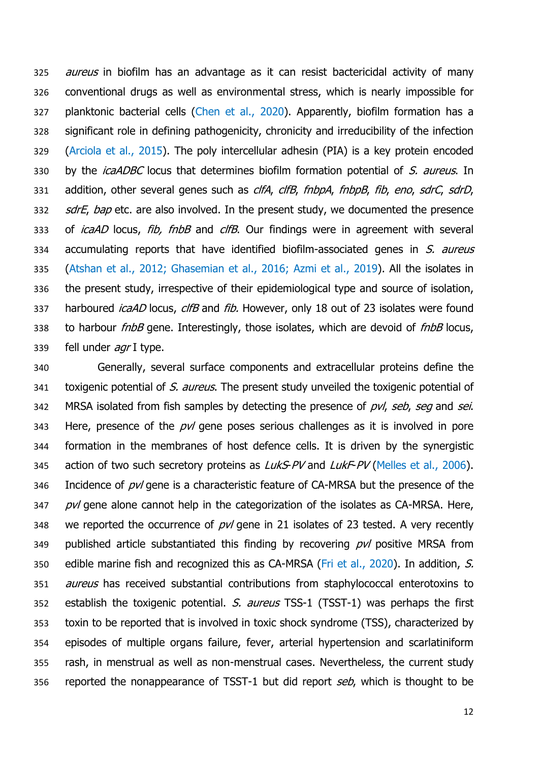325 *aureus* in biofilm has an advantage as it can resist bactericidal activity of many 326 conventional drugs as well as environmental stress, which is nearly impossible for 327 planktonic bacterial cells (Chen et al., 2020). Apparently, biofilm formation has a 328 significant role in defining pathogenicity, chronicity and irreducibility of the infection 329 (Arciola et al., 2015). The poly intercellular adhesin (PIA) is a key protein encoded 330 by the *icaADBC* locus that determines biofilm formation potential of S. aureus. In 331 addition, other several genes such as clfA, clfB, fnbpA, fnbpB, fib, eno, sdrC, sdrD, 332 *sdrE*, bap etc. are also involved. In the present study, we documented the presence 333 of *icaAD* locus, *fib, fnbB* and *clfB*. Our findings were in agreement with several 334 accumulating reports that have identified biofilm-associated genes in S. aureus 335 (Atshan et al., 2012; Ghasemian et al., 2016; Azmi et al., 2019). All the isolates in 336 the present study, irrespective of their epidemiological type and source of isolation, 337 harboured *icaAD* locus, *clfB* and *fib.* However, only 18 out of 23 isolates were found 338 to harbour *fnbB* gene. Interestingly, those isolates, which are devoid of *fnbB* locus, 339 fell under agr I type.

340 Generally, several surface components and extracellular proteins define the 341 toxigenic potential of S. aureus. The present study unveiled the toxigenic potential of 342 MRSA isolated from fish samples by detecting the presence of pvl, seb, seg and sei. 343 Here, presence of the  $p\nu l$  gene poses serious challenges as it is involved in pore 344 formation in the membranes of host defence cells. It is driven by the synergistic 345 action of two such secretory proteins as LukS-PV and LukF-PV (Melles et al., 2006). 346 Incidence of  $p\nu l$  gene is a characteristic feature of CA-MRSA but the presence of the  $347$  pvl gene alone cannot help in the categorization of the isolates as CA-MRSA. Here, 348 we reported the occurrence of  $p\nu l$  gene in 21 isolates of 23 tested. A very recently 349 published article substantiated this finding by recovering  $p\nu l$  positive MRSA from 350 edible marine fish and recognized this as CA-MRSA (Fri et al., 2020). In addition, S. 351 *aureus* has received substantial contributions from staphylococcal enterotoxins to 352 establish the toxigenic potential. S. aureus TSS-1 (TSST-1) was perhaps the first 353 toxin to be reported that is involved in toxic shock syndrome (TSS), characterized by 354 episodes of multiple organs failure, fever, arterial hypertension and scarlatiniform 355 rash, in menstrual as well as non-menstrual cases. Nevertheless, the current study 356 reported the nonappearance of TSST-1 but did report seb, which is thought to be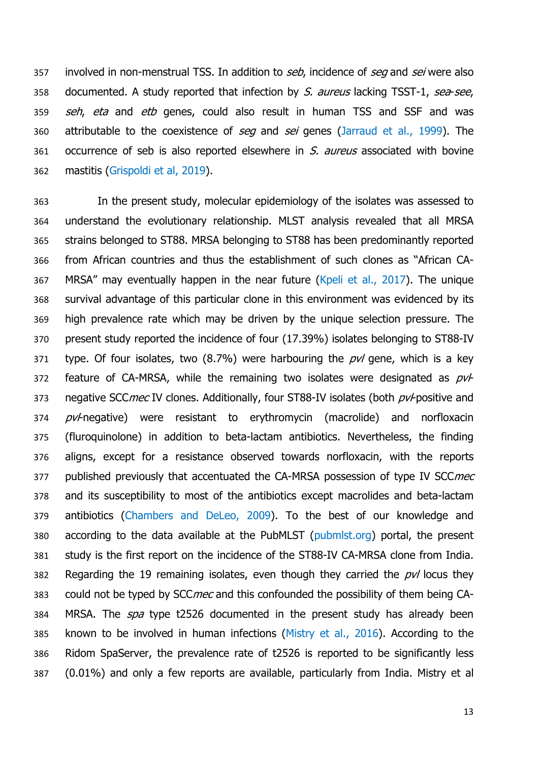357 involved in non-menstrual TSS. In addition to seb, incidence of seg and sei were also 358 documented. A study reported that infection by S. aureus lacking TSST-1, sea-see, 359 seh, eta and etb genes, could also result in human TSS and SSF and was 360 attributable to the coexistence of seg and sei genes (Jarraud et al., 1999). The 361 occurrence of seb is also reported elsewhere in S. aureus associated with bovine 362 mastitis (Grispoldi et al, 2019).

 In the present study, molecular epidemiology of the isolates was assessed to understand the evolutionary relationship. MLST analysis revealed that all MRSA strains belonged to ST88. MRSA belonging to ST88 has been predominantly reported from African countries and thus the establishment of such clones as "African CA- MRSA" may eventually happen in the near future (Kpeli et al., 2017). The unique survival advantage of this particular clone in this environment was evidenced by its high prevalence rate which may be driven by the unique selection pressure. The present study reported the incidence of four (17.39%) isolates belonging to ST88-IV 371 type. Of four isolates, two  $(8.7%)$  were harbouring the  $pvl$  gene, which is a key 372 feature of CA-MRSA, while the remaining two isolates were designated as  $pvl$ 373 negative SCC mec IV clones. Additionally, four ST88-IV isolates (both pv/-positive and 374 pv/-negative) were resistant to erythromycin (macrolide) and norfloxacin (fluroquinolone) in addition to beta-lactam antibiotics. Nevertheless, the finding aligns, except for a resistance observed towards norfloxacin, with the reports 377 published previously that accentuated the CA-MRSA possession of type IV SCCmec and its susceptibility to most of the antibiotics except macrolides and beta-lactam antibiotics (Chambers and DeLeo, 2009). To the best of our knowledge and according to the data available at the PubMLST (pubmlst.org) portal, the present study is the first report on the incidence of the ST88-IV CA-MRSA clone from India. 382 Regarding the 19 remaining isolates, even though they carried the  $p\nu l$  locus they 383 could not be typed by SCCmec and this confounded the possibility of them being CA-384 MRSA. The *spa* type t2526 documented in the present study has already been known to be involved in human infections (Mistry et al., 2016). According to the Ridom SpaServer, the prevalence rate of t2526 is reported to be significantly less (0.01%) and only a few reports are available, particularly from India. Mistry et al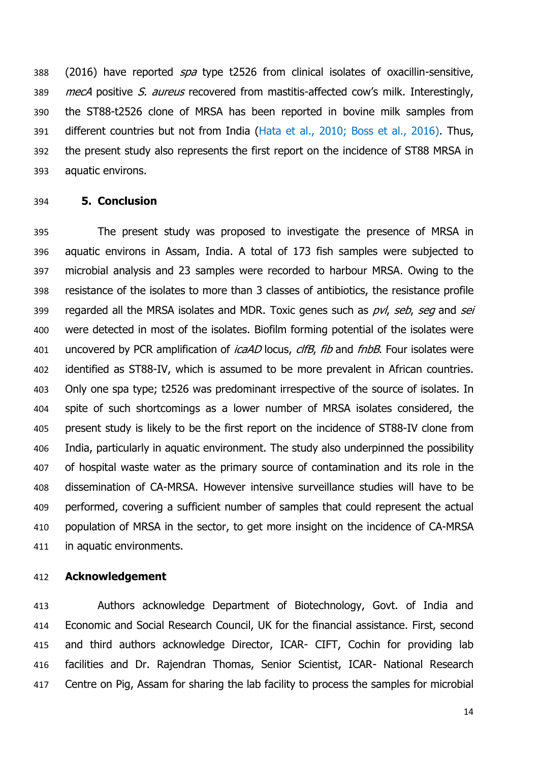388 (2016) have reported *spa* type t2526 from clinical isolates of oxacillin-sensitive, 389 mecA positive S. aureus recovered from mastitis-affected cow's milk. Interestingly, the ST88-t2526 clone of MRSA has been reported in bovine milk samples from different countries but not from India (Hata et al., 2010; Boss et al., 2016). Thus, the present study also represents the first report on the incidence of ST88 MRSA in aquatic environs.

#### **5. Conclusion**

 The present study was proposed to investigate the presence of MRSA in aquatic environs in Assam, India. A total of 173 fish samples were subjected to microbial analysis and 23 samples were recorded to harbour MRSA. Owing to the resistance of the isolates to more than 3 classes of antibiotics, the resistance profile 399 regarded all the MRSA isolates and MDR. Toxic genes such as pvl, seb, seg and sei were detected in most of the isolates. Biofilm forming potential of the isolates were 401 uncovered by PCR amplification of *icaAD* locus, *clfB*, *fib* and *fnbB*. Four isolates were identified as ST88-IV, which is assumed to be more prevalent in African countries. Only one spa type; t2526 was predominant irrespective of the source of isolates. In spite of such shortcomings as a lower number of MRSA isolates considered, the present study is likely to be the first report on the incidence of ST88-IV clone from India, particularly in aquatic environment. The study also underpinned the possibility of hospital waste water as the primary source of contamination and its role in the dissemination of CA-MRSA. However intensive surveillance studies will have to be performed, covering a sufficient number of samples that could represent the actual population of MRSA in the sector, to get more insight on the incidence of CA-MRSA in aquatic environments.

## **Acknowledgement**

 Authors acknowledge Department of Biotechnology, Govt. of India and Economic and Social Research Council, UK for the financial assistance. First, second and third authors acknowledge Director, ICAR- CIFT, Cochin for providing lab facilities and Dr. Rajendran Thomas, Senior Scientist, ICAR- National Research 417 Centre on Pig, Assam for sharing the lab facility to process the samples for microbial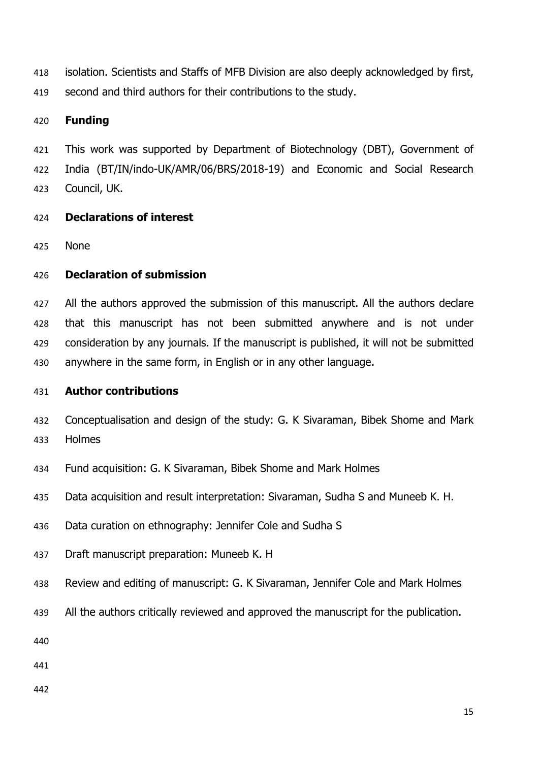isolation. Scientists and Staffs of MFB Division are also deeply acknowledged by first, second and third authors for their contributions to the study.

## **Funding**

 This work was supported by Department of Biotechnology (DBT), Government of India (BT/IN/indo-UK/AMR/06/BRS/2018-19) and Economic and Social Research Council, UK.

- **Declarations of interest**
- None

# **Declaration of submission**

427 All the authors approved the submission of this manuscript. All the authors declare that this manuscript has not been submitted anywhere and is not under consideration by any journals. If the manuscript is published, it will not be submitted anywhere in the same form, in English or in any other language.

## **Author contributions**

- Conceptualisation and design of the study: G. K Sivaraman, Bibek Shome and Mark Holmes
- Fund acquisition: G. K Sivaraman, Bibek Shome and Mark Holmes
- Data acquisition and result interpretation: Sivaraman, Sudha S and Muneeb K. H.
- Data curation on ethnography: Jennifer Cole and Sudha S
- Draft manuscript preparation: Muneeb K. H
- Review and editing of manuscript: G. K Sivaraman, Jennifer Cole and Mark Holmes
- All the authors critically reviewed and approved the manuscript for the publication.
- 
- 
-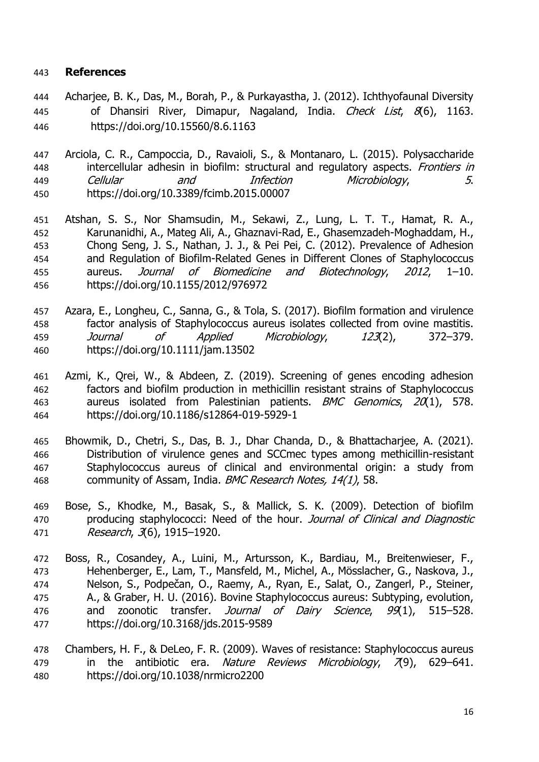# **References**

- Acharjee, B. K., Das, M., Borah, P., & Purkayastha, J. (2012). Ichthyofaunal Diversity 445 of Dhansiri River, Dimapur, Nagaland, India. Check List, 8(6), 1163. https://doi.org/10.15560/8.6.1163
- Arciola, C. R., Campoccia, D., Ravaioli, S., & Montanaro, L. (2015). Polysaccharide 448 intercellular adhesin in biofilm: structural and regulatory aspects. Frontiers in Cellular and Infection Microbiology, 5. https://doi.org/10.3389/fcimb.2015.00007
- Atshan, S. S., Nor Shamsudin, M., Sekawi, Z., Lung, L. T. T., Hamat, R. A., Karunanidhi, A., Mateg Ali, A., Ghaznavi-Rad, E., Ghasemzadeh-Moghaddam, H., Chong Seng, J. S., Nathan, J. J., & Pei Pei, C. (2012). Prevalence of Adhesion and Regulation of Biofilm-Related Genes in Different Clones of Staphylococcus aureus. Journal of Biomedicine and Biotechnology, 2012, 1–10. https://doi.org/10.1155/2012/976972
- Azara, E., Longheu, C., Sanna, G., & Tola, S. (2017). Biofilm formation and virulence factor analysis of Staphylococcus aureus isolates collected from ovine mastitis. Journal of Applied Microbiology, 123(2), 372–379. https://doi.org/10.1111/jam.13502
- Azmi, K., Qrei, W., & Abdeen, Z. (2019). Screening of genes encoding adhesion factors and biofilm production in methicillin resistant strains of Staphylococcus 463 aureus isolated from Palestinian patients. BMC Genomics, 20(1), 578. https://doi.org/10.1186/s12864-019-5929-1
- Bhowmik, D., Chetri, S., Das, B. J., Dhar Chanda, D., & Bhattacharjee, A. (2021). Distribution of virulence genes and SCCmec types among methicillin-resistant Staphylococcus aureus of clinical and environmental origin: a study from 468 community of Assam, India, *BMC Research Notes, 14(1)*, 58.
- Bose, S., Khodke, M., Basak, S., & Mallick, S. K. (2009). Detection of biofilm 470 producing staphylococci: Need of the hour. Journal of Clinical and Diagnostic Research, 3(6), 1915–1920.
- Boss, R., Cosandey, A., Luini, M., Artursson, K., Bardiau, M., Breitenwieser, F., Hehenberger, E., Lam, T., Mansfeld, M., Michel, A., Mösslacher, G., Naskova, J., Nelson, S., Podpečan, O., Raemy, A., Ryan, E., Salat, O., Zangerl, P., Steiner, A., & Graber, H. U. (2016). Bovine Staphylococcus aureus: Subtyping, evolution, 476 and zoonotic transfer. Journal of Dairy Science, 99(1), 515–528. https://doi.org/10.3168/jds.2015-9589
- Chambers, H. F., & DeLeo, F. R. (2009). Waves of resistance: Staphylococcus aureus 479 in the antibiotic era. Nature Reviews Microbiology, 79), 629–641. https://doi.org/10.1038/nrmicro2200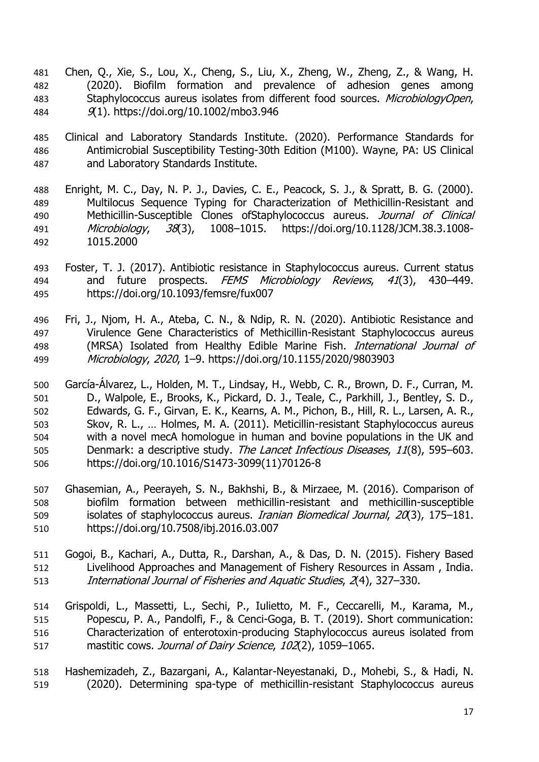- Chen, Q., Xie, S., Lou, X., Cheng, S., Liu, X., Zheng, W., Zheng, Z., & Wang, H. (2020). Biofilm formation and prevalence of adhesion genes among 483 Staphylococcus aureus isolates from different food sources. MicrobiologyOpen, 9(1). https://doi.org/10.1002/mbo3.946
- Clinical and Laboratory Standards Institute. (2020). Performance Standards for Antimicrobial Susceptibility Testing-30th Edition (M100). Wayne, PA: US Clinical and Laboratory Standards Institute.
- Enright, M. C., Day, N. P. J., Davies, C. E., Peacock, S. J., & Spratt, B. G. (2000). Multilocus Sequence Typing for Characterization of Methicillin-Resistant and 490 Methicillin-Susceptible Clones of Staphylococcus aureus. Journal of Clinical Microbiology, 38(3), 1008–1015. https://doi.org/10.1128/JCM.38.3.1008- 1015.2000
- Foster, T. J. (2017). Antibiotic resistance in Staphylococcus aureus. Current status 494 and future prospects. FEMS Microbiology Reviews, 41(3), 430-449. https://doi.org/10.1093/femsre/fux007
- Fri, J., Njom, H. A., Ateba, C. N., & Ndip, R. N. (2020). Antibiotic Resistance and Virulence Gene Characteristics of Methicillin-Resistant Staphylococcus aureus 498 (MRSA) Isolated from Healthy Edible Marine Fish. International Journal of Microbiology, 2020, 1–9. https://doi.org/10.1155/2020/9803903
- García-Álvarez, L., Holden, M. T., Lindsay, H., Webb, C. R., Brown, D. F., Curran, M. D., Walpole, E., Brooks, K., Pickard, D. J., Teale, C., Parkhill, J., Bentley, S. D., Edwards, G. F., Girvan, E. K., Kearns, A. M., Pichon, B., Hill, R. L., Larsen, A. R., Skov, R. L., … Holmes, M. A. (2011). Meticillin-resistant Staphylococcus aureus with a novel mecA homologue in human and bovine populations in the UK and 505 Denmark: a descriptive study. The Lancet Infectious Diseases, 11(8), 595–603. https://doi.org/10.1016/S1473-3099(11)70126-8
- Ghasemian, A., Peerayeh, S. N., Bakhshi, B., & Mirzaee, M. (2016). Comparison of biofilm formation between methicillin-resistant and methicillin-susceptible isolates of staphylococcus aureus. Iranian Biomedical Journal, 20(3), 175–181. https://doi.org/10.7508/ibj.2016.03.007
- Gogoi, B., Kachari, A., Dutta, R., Darshan, A., & Das, D. N. (2015). Fishery Based Livelihood Approaches and Management of Fishery Resources in Assam , India. International Journal of Fisheries and Aquatic Studies, 2(4), 327–330.
- Grispoldi, L., Massetti, L., Sechi, P., Iulietto, M. F., Ceccarelli, M., Karama, M., Popescu, P. A., Pandolfi, F., & Cenci-Goga, B. T. (2019). Short communication: Characterization of enterotoxin-producing Staphylococcus aureus isolated from 517 mastitic cows. Journal of Dairy Science, 102(2), 1059-1065.
- Hashemizadeh, Z., Bazargani, A., Kalantar-Neyestanaki, D., Mohebi, S., & Hadi, N. (2020). Determining spa-type of methicillin-resistant Staphylococcus aureus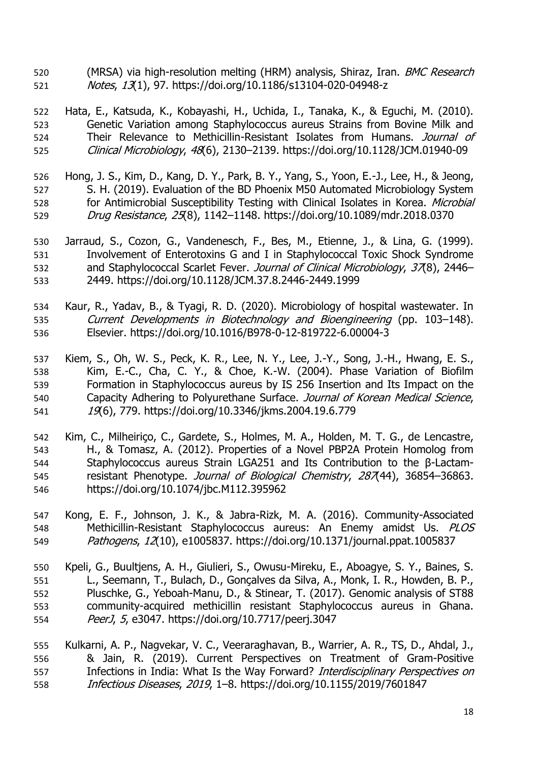520 (MRSA) via high-resolution melting (HRM) analysis, Shiraz, Iran. *BMC Research* Notes, 13(1), 97. https://doi.org/10.1186/s13104-020-04948-z

 Hata, E., Katsuda, K., Kobayashi, H., Uchida, I., Tanaka, K., & Eguchi, M. (2010). Genetic Variation among Staphylococcus aureus Strains from Bovine Milk and 524 Their Relevance to Methicillin-Resistant Isolates from Humans. Journal of Clinical Microbiology, 48(6), 2130–2139. https://doi.org/10.1128/JCM.01940-09

- Hong, J. S., Kim, D., Kang, D. Y., Park, B. Y., Yang, S., Yoon, E.-J., Lee, H., & Jeong, S. H. (2019). Evaluation of the BD Phoenix M50 Automated Microbiology System 528 for Antimicrobial Susceptibility Testing with Clinical Isolates in Korea. Microbial Drug Resistance, 25(8), 1142–1148. https://doi.org/10.1089/mdr.2018.0370
- Jarraud, S., Cozon, G., Vandenesch, F., Bes, M., Etienne, J., & Lina, G. (1999). Involvement of Enterotoxins G and I in Staphylococcal Toxic Shock Syndrome 532 and Staphylococcal Scarlet Fever. Journal of Clinical Microbiology, 37(8), 2446– 2449. https://doi.org/10.1128/JCM.37.8.2446-2449.1999
- Kaur, R., Yadav, B., & Tyagi, R. D. (2020). Microbiology of hospital wastewater. In 535 Current Developments in Biotechnology and Bioengineering (pp. 103-148). Elsevier. https://doi.org/10.1016/B978-0-12-819722-6.00004-3
- Kiem, S., Oh, W. S., Peck, K. R., Lee, N. Y., Lee, J.-Y., Song, J.-H., Hwang, E. S., Kim, E.-C., Cha, C. Y., & Choe, K.-W. (2004). Phase Variation of Biofilm Formation in Staphylococcus aureus by IS 256 Insertion and Its Impact on the 540 Capacity Adhering to Polyurethane Surface. Journal of Korean Medical Science, 19(6), 779. https://doi.org/10.3346/jkms.2004.19.6.779
- Kim, C., Milheiriço, C., Gardete, S., Holmes, M. A., Holden, M. T. G., de Lencastre, H., & Tomasz, A. (2012). Properties of a Novel PBP2A Protein Homolog from Staphylococcus aureus Strain LGA251 and Its Contribution to the β-Lactam-545 resistant Phenotype. Journal of Biological Chemistry, 287(44), 36854-36863. https://doi.org/10.1074/jbc.M112.395962
- Kong, E. F., Johnson, J. K., & Jabra-Rizk, M. A. (2016). Community-Associated Methicillin-Resistant Staphylococcus aureus: An Enemy amidst Us. PLOS 549 Pathogens, 12(10), e1005837. https://doi.org/10.1371/journal.ppat.1005837
- Kpeli, G., Buultjens, A. H., Giulieri, S., Owusu-Mireku, E., Aboagye, S. Y., Baines, S. L., Seemann, T., Bulach, D., Gonçalves da Silva, A., Monk, I. R., Howden, B. P., Pluschke, G., Yeboah-Manu, D., & Stinear, T. (2017). Genomic analysis of ST88 community-acquired methicillin resistant Staphylococcus aureus in Ghana. PeerJ, 5, e3047. https://doi.org/10.7717/peerj.3047
- Kulkarni, A. P., Nagvekar, V. C., Veeraraghavan, B., Warrier, A. R., TS, D., Ahdal, J., & Jain, R. (2019). Current Perspectives on Treatment of Gram-Positive 557 Infections in India: What Is the Way Forward? Interdisciplinary Perspectives on Infectious Diseases, 2019, 1–8. https://doi.org/10.1155/2019/7601847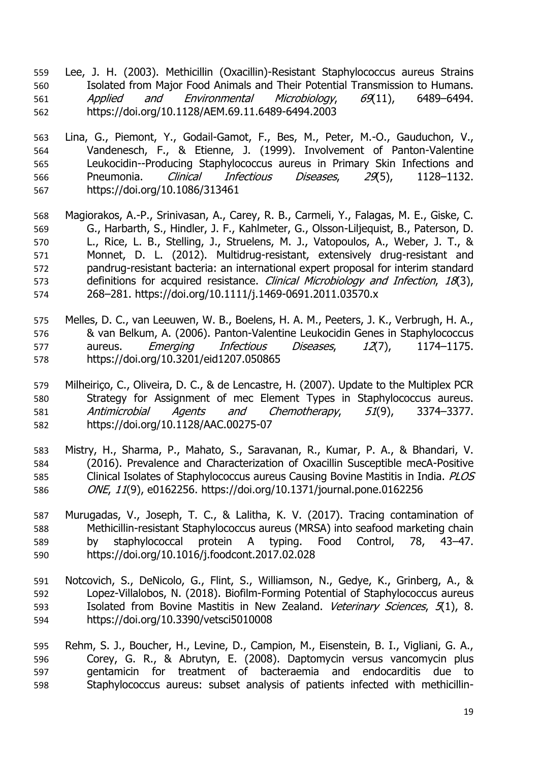- Lee, J. H. (2003). Methicillin (Oxacillin)-Resistant Staphylococcus aureus Strains Isolated from Major Food Animals and Their Potential Transmission to Humans. Applied and Environmental Microbiology, 69(11), 6489–6494. https://doi.org/10.1128/AEM.69.11.6489-6494.2003
- Lina, G., Piemont, Y., Godail-Gamot, F., Bes, M., Peter, M.-O., Gauduchon, V., Vandenesch, F., & Etienne, J. (1999). Involvement of Panton-Valentine Leukocidin--Producing Staphylococcus aureus in Primary Skin Infections and Pneumonia. Clinical Infectious Diseases, 29(5), 1128–1132. https://doi.org/10.1086/313461
- Magiorakos, A.-P., Srinivasan, A., Carey, R. B., Carmeli, Y., Falagas, M. E., Giske, C. G., Harbarth, S., Hindler, J. F., Kahlmeter, G., Olsson-Liljequist, B., Paterson, D. L., Rice, L. B., Stelling, J., Struelens, M. J., Vatopoulos, A., Weber, J. T., & Monnet, D. L. (2012). Multidrug-resistant, extensively drug-resistant and pandrug-resistant bacteria: an international expert proposal for interim standard definitions for acquired resistance. Clinical Microbiology and Infection, 18(3), 268–281. https://doi.org/10.1111/j.1469-0691.2011.03570.x
- Melles, D. C., van Leeuwen, W. B., Boelens, H. A. M., Peeters, J. K., Verbrugh, H. A., & van Belkum, A. (2006). Panton-Valentine Leukocidin Genes in Staphylococcus 577 aureus. *Emerging Infectious Diseases*, 12(7), 1174–1175. https://doi.org/10.3201/eid1207.050865
- Milheiriço, C., Oliveira, D. C., & de Lencastre, H. (2007). Update to the Multiplex PCR Strategy for Assignment of mec Element Types in Staphylococcus aureus. Antimicrobial Agents and Chemotherapy, 51(9), 3374–3377. https://doi.org/10.1128/AAC.00275-07
- Mistry, H., Sharma, P., Mahato, S., Saravanan, R., Kumar, P. A., & Bhandari, V. (2016). Prevalence and Characterization of Oxacillin Susceptible mecA-Positive 585 Clinical Isolates of Staphylococcus aureus Causing Bovine Mastitis in India. *PLOS* ONE, 11(9), e0162256. https://doi.org/10.1371/journal.pone.0162256
- Murugadas, V., Joseph, T. C., & Lalitha, K. V. (2017). Tracing contamination of Methicillin-resistant Staphylococcus aureus (MRSA) into seafood marketing chain by staphylococcal protein A typing. Food Control, 78, 43–47. https://doi.org/10.1016/j.foodcont.2017.02.028
- Notcovich, S., DeNicolo, G., Flint, S., Williamson, N., Gedye, K., Grinberg, A., & Lopez-Villalobos, N. (2018). Biofilm-Forming Potential of Staphylococcus aureus 593 Isolated from Bovine Mastitis in New Zealand. Veterinary Sciences, 5(1), 8. https://doi.org/10.3390/vetsci5010008
- Rehm, S. J., Boucher, H., Levine, D., Campion, M., Eisenstein, B. I., Vigliani, G. A., Corey, G. R., & Abrutyn, E. (2008). Daptomycin versus vancomycin plus gentamicin for treatment of bacteraemia and endocarditis due to Staphylococcus aureus: subset analysis of patients infected with methicillin-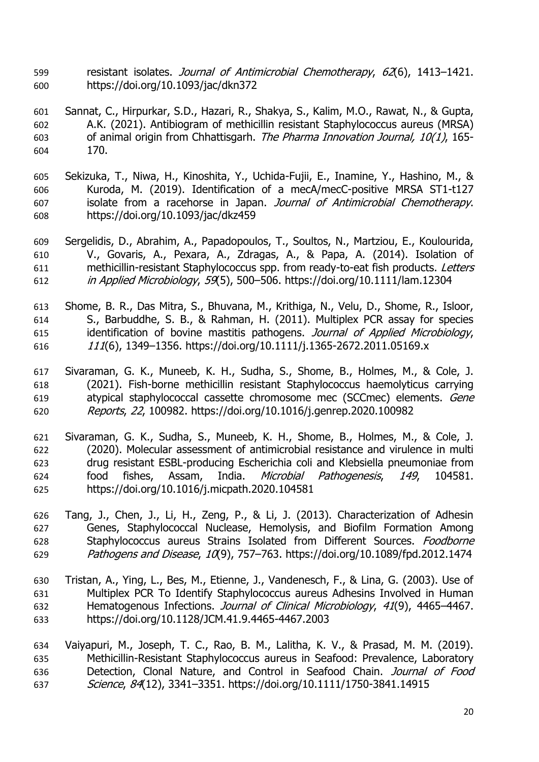- 599 resistant isolates. Journal of Antimicrobial Chemotherapy, 62(6), 1413-1421. https://doi.org/10.1093/jac/dkn372
- Sannat, C., Hirpurkar, S.D., Hazari, R., Shakya, S., Kalim, M.O., Rawat, N., & Gupta, A.K. (2021). Antibiogram of methicillin resistant Staphylococcus aureus (MRSA) 603 of animal origin from Chhattisgarh. The Pharma Innovation Journal, 10(1), 165-170.
- Sekizuka, T., Niwa, H., Kinoshita, Y., Uchida-Fujii, E., Inamine, Y., Hashino, M., & Kuroda, M. (2019). Identification of a mecA/mecC-positive MRSA ST1-t127 607 isolate from a racehorse in Japan. Journal of Antimicrobial Chemotherapy. https://doi.org/10.1093/jac/dkz459
- Sergelidis, D., Abrahim, A., Papadopoulos, T., Soultos, N., Martziou, E., Koulourida, V., Govaris, A., Pexara, A., Zdragas, A., & Papa, A. (2014). Isolation of 611 methicillin-resistant Staphylococcus spp. from ready-to-eat fish products. Letters in Applied Microbiology, 59(5), 500–506. https://doi.org/10.1111/lam.12304
- Shome, B. R., Das Mitra, S., Bhuvana, M., Krithiga, N., Velu, D., Shome, R., Isloor, S., Barbuddhe, S. B., & Rahman, H. (2011). Multiplex PCR assay for species 615 identification of bovine mastitis pathogens. Journal of Applied Microbiology, <sup>111</sup>(6), 1349–1356. https://doi.org/10.1111/j.1365-2672.2011.05169.x
- Sivaraman, G. K., Muneeb, K. H., Sudha, S., Shome, B., Holmes, M., & Cole, J. (2021). Fish-borne methicillin resistant Staphylococcus haemolyticus carrying atypical staphylococcal cassette chromosome mec (SCCmec) elements. Gene Reports, 22, 100982. https://doi.org/10.1016/j.genrep.2020.100982
- Sivaraman, G. K., Sudha, S., Muneeb, K. H., Shome, B., Holmes, M., & Cole, J. (2020). Molecular assessment of antimicrobial resistance and virulence in multi drug resistant ESBL-producing Escherichia coli and Klebsiella pneumoniae from food fishes, Assam, India. Microbial Pathogenesis, 149, 104581. https://doi.org/10.1016/j.micpath.2020.104581
- Tang, J., Chen, J., Li, H., Zeng, P., & Li, J. (2013). Characterization of Adhesin Genes, Staphylococcal Nuclease, Hemolysis, and Biofilm Formation Among Staphylococcus aureus Strains Isolated from Different Sources. Foodborne Pathogens and Disease, 10(9), 757–763. https://doi.org/10.1089/fpd.2012.1474
- Tristan, A., Ying, L., Bes, M., Etienne, J., Vandenesch, F., & Lina, G. (2003). Use of Multiplex PCR To Identify Staphylococcus aureus Adhesins Involved in Human 632 Hematogenous Infections. Journal of Clinical Microbiology, 41(9), 4465-4467. https://doi.org/10.1128/JCM.41.9.4465-4467.2003
- Vaiyapuri, M., Joseph, T. C., Rao, B. M., Lalitha, K. V., & Prasad, M. M. (2019). Methicillin‐Resistant Staphylococcus aureus in Seafood: Prevalence, Laboratory 636 Detection, Clonal Nature, and Control in Seafood Chain. Journal of Food Science, 84(12), 3341–3351. https://doi.org/10.1111/1750-3841.14915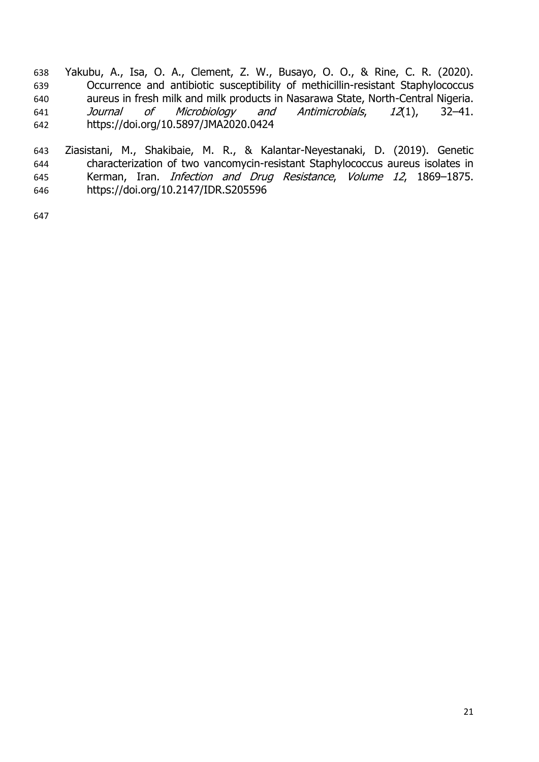Yakubu, A., Isa, O. A., Clement, Z. W., Busayo, O. O., & Rine, C. R. (2020). Occurrence and antibiotic susceptibility of methicillin-resistant Staphylococcus aureus in fresh milk and milk products in Nasarawa State, North-Central Nigeria. Journal of Microbiology and Antimicrobials, 12(1), 32–41. https://doi.org/10.5897/JMA2020.0424

 Ziasistani, M., Shakibaie, M. R., & Kalantar-Neyestanaki, D. (2019). Genetic characterization of two vancomycin-resistant Staphylococcus aureus isolates in Kerman, Iran. Infection and Drug Resistance, Volume 12, 1869–1875. https://doi.org/10.2147/IDR.S205596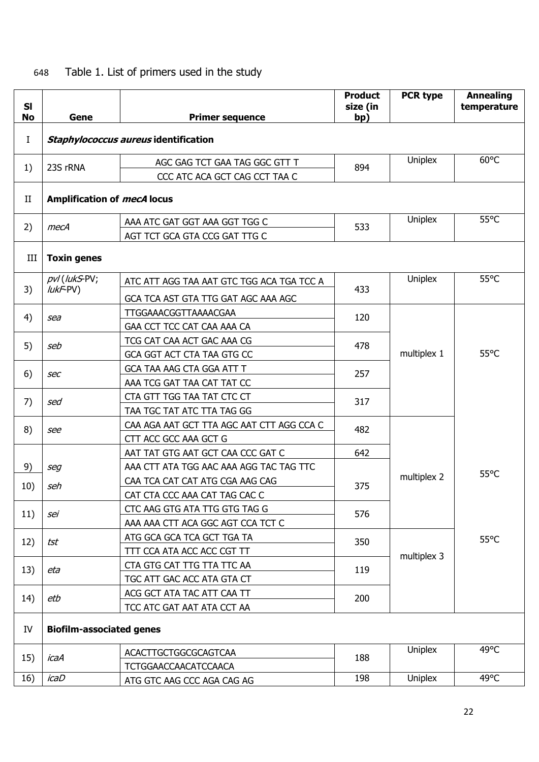# 648 Table 1. List of primers used in the study

| SI<br>No    |                                       |                                           | <b>Product</b><br>size (in | <b>PCR type</b> | <b>Annealing</b><br>temperature |  |
|-------------|---------------------------------------|-------------------------------------------|----------------------------|-----------------|---------------------------------|--|
|             | Gene<br>bp)<br><b>Primer sequence</b> |                                           |                            |                 |                                 |  |
| Ι           | Staphylococcus aureus identification  |                                           |                            |                 |                                 |  |
| 1)          | 23S rRNA                              | AGC GAG TCT GAA TAG GGC GTT T             | 894                        | Uniplex         | $60^{\circ}$ C                  |  |
|             |                                       | CCC ATC ACA GCT CAG CCT TAA C             |                            |                 |                                 |  |
| $_{\rm II}$ | <b>Amplification of mecA locus</b>    |                                           |                            |                 |                                 |  |
| 2)          | mecA                                  | AAA ATC GAT GGT AAA GGT TGG C             | 533                        | Uniplex         | $55^{\circ}$ C                  |  |
|             |                                       | AGT TCT GCA GTA CCG GAT TTG C             |                            |                 |                                 |  |
| III         | <b>Toxin genes</b>                    |                                           |                            |                 |                                 |  |
|             | pvl (lukS-PV;                         | ATC ATT AGG TAA AAT GTC TGG ACA TGA TCC A |                            | Uniplex         | $55^{\circ}$ C                  |  |
| 3)          | $luk$ F-PV $)$                        | GCA TCA AST GTA TTG GAT AGC AAA AGC       | 433                        |                 |                                 |  |
|             |                                       | TTGGAAACGGTTAAAACGAA                      |                            |                 |                                 |  |
| 4)          | sea                                   | GAA CCT TCC CAT CAA AAA CA                | 120                        |                 |                                 |  |
|             |                                       | TCG CAT CAA ACT GAC AAA CG                |                            |                 | $55^{\circ}$ C                  |  |
| 5)          | seb                                   | GCA GGT ACT CTA TAA GTG CC                | 478                        | multiplex 1     |                                 |  |
|             |                                       | GCA TAA AAG CTA GGA ATT T                 | 257                        |                 |                                 |  |
| 6)          | <b>Sec</b>                            | AAA TCG GAT TAA CAT TAT CC                |                            |                 |                                 |  |
| 7)          | sed                                   | CTA GTT TGG TAA TAT CTC CT                | 317                        |                 |                                 |  |
|             |                                       | TAA TGC TAT ATC TTA TAG GG                |                            |                 |                                 |  |
| 8)          | see                                   | CAA AGA AAT GCT TTA AGC AAT CTT AGG CCA C | 482                        |                 |                                 |  |
|             |                                       | CTT ACC GCC AAA GCT G                     |                            |                 |                                 |  |
|             |                                       | AAT TAT GTG AAT GCT CAA CCC GAT C         | 642                        |                 |                                 |  |
| 9)          | seg                                   | AAA CTT ATA TGG AAC AAA AGG TAC TAG TTC   |                            | multiplex 2     | $55^{\circ}$ C                  |  |
| 10)         | seh                                   | CAA TCA CAT CAT ATG CGA AAG CAG           | 375                        |                 |                                 |  |
|             |                                       | CAT CTA CCC AAA CAT TAG CAC C             |                            |                 |                                 |  |
| 11)         | sei                                   | CTC AAG GTG ATA TTG GTG TAG G             | 576                        |                 |                                 |  |
|             |                                       | AAA AAA CTT ACA GGC AGT CCA TCT C         |                            |                 |                                 |  |
| 12)         | tst                                   | ATG GCA GCA TCA GCT TGA TA                | 350                        | multiplex 3     | $55^{\circ}$ C                  |  |
|             |                                       | TTT CCA ATA ACC ACC CGT TT                |                            |                 |                                 |  |
| 13)         | eta                                   | CTA GTG CAT TTG TTA TTC AA                | 119                        |                 |                                 |  |
|             |                                       | TGC ATT GAC ACC ATA GTA CT                |                            |                 |                                 |  |
| 14)         | etb                                   | ACG GCT ATA TAC ATT CAA TT                | 200                        |                 |                                 |  |
|             |                                       | TCC ATC GAT AAT ATA CCT AA                |                            |                 |                                 |  |
| IV          | <b>Biofilm-associated genes</b>       |                                           |                            |                 |                                 |  |
|             |                                       | ACACTTGCTGGCGCAGTCAA                      |                            | Uniplex         | 49°C                            |  |
| 15)         | icaA                                  | <b>TCTGGAACCAACATCCAACA</b>               | 188                        |                 |                                 |  |
| 16)         | icaD                                  | ATG GTC AAG CCC AGA CAG AG                | 198                        | Uniplex         | 49°C                            |  |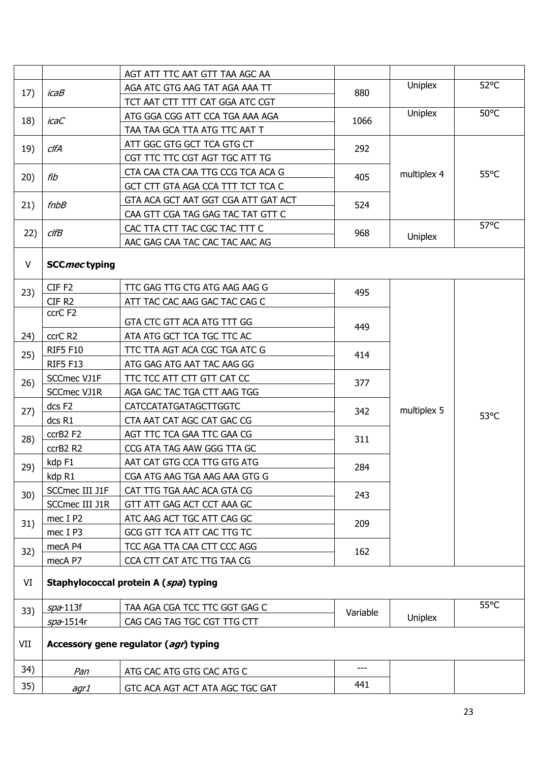|              |                                       | AGT ATT TTC AAT GTT TAA AGC AA        |          |             |                |
|--------------|---------------------------------------|---------------------------------------|----------|-------------|----------------|
| 17)          | icaB                                  | AGA ATC GTG AAG TAT AGA AAA TT        | 880      | Uniplex     | $52^{\circ}$ C |
|              |                                       | TCT AAT CTT TTT CAT GGA ATC CGT       |          |             |                |
| 18)          | icaC                                  | ATG GGA CGG ATT CCA TGA AAA AGA       | 1066     | Uniplex     | $50^{\circ}$ C |
|              |                                       | TAA TAA GCA TTA ATG TTC AAT T         |          |             |                |
| 19)          | ClfA                                  | ATT GGC GTG GCT TCA GTG CT            | 292      |             |                |
|              |                                       | CGT TTC TTC CGT AGT TGC ATT TG        |          |             |                |
| 20)          | fib                                   | CTA CAA CTA CAA TTG CCG TCA ACA G     | 405      | multiplex 4 | $55^{\circ}$ C |
|              |                                       | GCT CTT GTA AGA CCA TTT TCT TCA C     |          |             |                |
| 21)          | $f$ n $b$ $B$                         | GTA ACA GCT AAT GGT CGA ATT GAT ACT   | 524      |             |                |
|              |                                       | CAA GTT CGA TAG GAG TAC TAT GTT C     |          |             |                |
| 22)          | clfB                                  | CAC TTA CTT TAC CGC TAC TTT C         | 968      |             | $57^{\circ}$ C |
|              |                                       | AAC GAG CAA TAC CAC TAC AAC AG        |          | Uniplex     |                |
| $\mathsf{V}$ | <b>SCCmectyping</b>                   |                                       |          |             |                |
|              |                                       |                                       |          |             |                |
| 23)          | CIF <sub>F2</sub>                     | TTC GAG TTG CTG ATG AAG AAG G         | 495      |             |                |
|              | CIF <sub>R2</sub>                     | ATT TAC CAC AAG GAC TAC CAG C         |          |             | 53°C           |
|              | ccrC F2                               | GTA CTC GTT ACA ATG TTT GG            |          |             |                |
| 24)          | ccrC R2                               | ATA ATG GCT TCA TGC TTC AC            | 449      |             |                |
|              | <b>RIF5 F10</b>                       | TTC TTA AGT ACA CGC TGA ATC G         |          |             |                |
| 25)          | <b>RIF5 F13</b>                       | ATG GAG ATG AAT TAC AAG GG            | 414      |             |                |
|              | SCCmec VJ1F                           | TTC TCC ATT CTT GTT CAT CC            |          | multiplex 5 |                |
| 26)          | SCCmec VJ1R                           | AGA GAC TAC TGA CTT AAG TGG           | 377      |             |                |
|              | dcs F <sub>2</sub>                    | <b>CATCCATATGATAGCTTGGTC</b>          |          |             |                |
| 27)          | dcs R1                                | CTA AAT CAT AGC CAT GAC CG            | 342      |             |                |
|              | ccrB2 F2                              | AGT TTC TCA GAA TTC GAA CG            |          |             |                |
| 28)          | ccrB2 R2                              | CCG ATA TAG AAW GGG TTA GC            | 311      |             |                |
|              | kdp F1                                | AAT CAT GTG CCA TTG GTG ATG           | 284      |             |                |
| 29)          | kdp R1                                | CGA ATG AAG TGA AAG AAA GTG G         |          |             |                |
|              | SCCmec III J1F                        | CAT TTG TGA AAC ACA GTA CG            |          |             |                |
| 30)          | SCCmec III J1R                        | GTT ATT GAG ACT CCT AAA GC            | 243      |             |                |
| 31)          | mec I P2                              | ATC AAG ACT TGC ATT CAG GC            | 209      |             |                |
|              | mec I P3                              | GCG GTT TCA ATT CAC TTG TC            |          |             |                |
| 32)          | mecA P4                               | TCC AGA TTA CAA CTT CCC AGG           | 162      |             |                |
|              | mecA P7                               | CCA CTT CAT ATC TTG TAA CG            |          |             |                |
| VI           | Staphylococcal protein A (spa) typing |                                       |          |             |                |
|              |                                       |                                       |          |             |                |
| 33)          | $spa-113f$                            | TAA AGA CGA TCC TTC GGT GAG C         | Variable |             | $55^{\circ}$ C |
|              | $spa$ -1514r                          | CAG CAG TAG TGC CGT TTG CTT           |          | Uniplex     |                |
| VII          |                                       | Accessory gene regulator (agr) typing |          |             |                |
| 34)          | Pan                                   | ATG CAC ATG GTG CAC ATG C             | ---      |             |                |
| 35)          | agr1                                  | GTC ACA AGT ACT ATA AGC TGC GAT       | 441      |             |                |